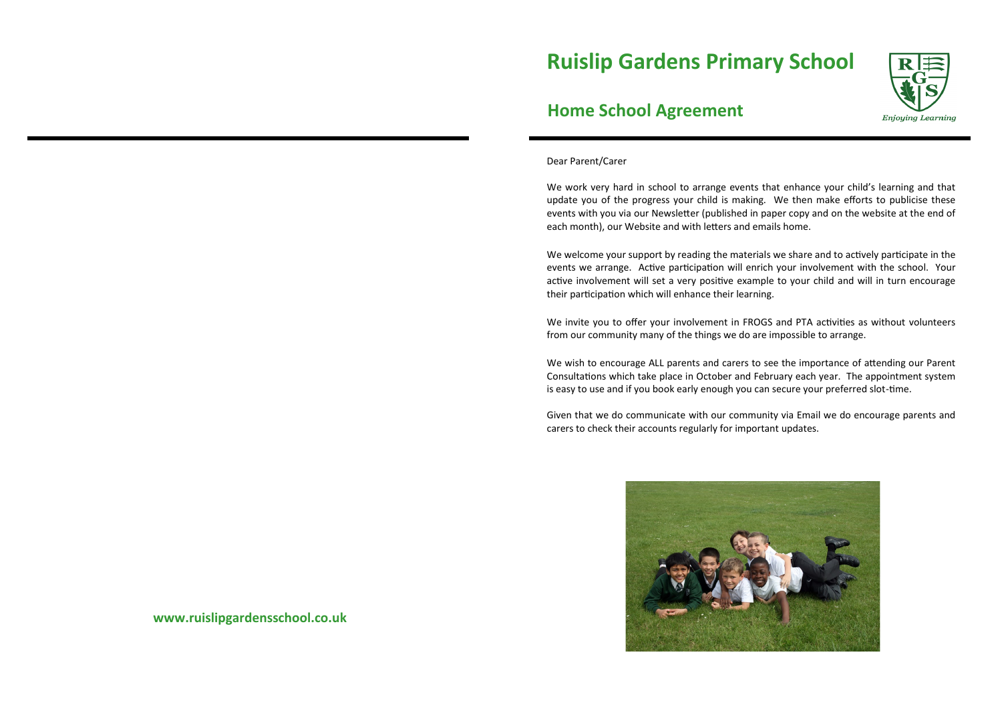# **Ruislip Gardens Primary School**



# **Home School Agreement**

Dear Parent/Carer

We work very hard in school to arrange events that enhance your child's learning and that update you of the progress your child is making. We then make efforts to publicise these events with you via our Newsletter (published in paper copy and on the website at the end of each month), our Website and with letters and emails home.

We welcome your support by reading the materials we share and to actively participate in the events we arrange. Active participation will enrich your involvement with the school. Your active involvement will set a very positive example to your child and will in turn encourage their participation which will enhance their learning.

We invite you to offer your involvement in FROGS and PTA activities as without volunteers from our community many of the things we do are impossible to arrange.

We wish to encourage ALL parents and carers to see the importance of attending our Parent Consultations which take place in October and February each year. The appointment system is easy to use and if you book early enough you can secure your preferred slot-time.

Given that we do communicate with our community via Email we do encourage parents and carers to check their accounts regularly for important updates.



**www.ruislipgardensschool.co.uk**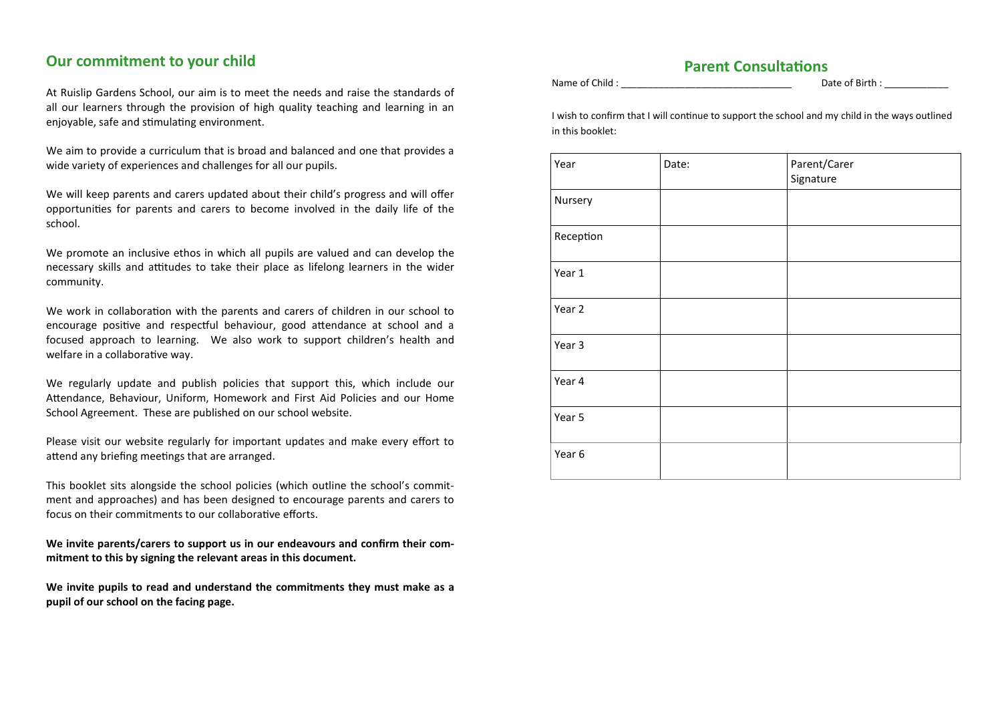## **Our commitment to your child**

At Ruislip Gardens School, our aim is to meet the needs and raise the standards of all our learners through the provision of high quality teaching and learning in an enjoyable, safe and stimulating environment.

We aim to provide a curriculum that is broad and balanced and one that provides a wide variety of experiences and challenges for all our pupils.

We will keep parents and carers updated about their child's progress and will offer opportunities for parents and carers to become involved in the daily life of the school.

We promote an inclusive ethos in which all pupils are valued and can develop the necessary skills and attitudes to take their place as lifelong learners in the wider community.

We work in collaboration with the parents and carers of children in our school to encourage positive and respectful behaviour, good attendance at school and a focused approach to learning. We also work to support children's health and welfare in a collaborative way.

We regularly update and publish policies that support this, which include our Attendance, Behaviour, Uniform, Homework and First Aid Policies and our Home School Agreement. These are published on our school website.

Please visit our website regularly for important updates and make every effort to attend any briefing meetings that are arranged.

This booklet sits alongside the school policies (which outline the school's commitment and approaches) and has been designed to encourage parents and carers to focus on their commitments to our collaborative efforts.

**We invite parents/carers to support us in our endeavours and confirm their commitment to this by signing the relevant areas in this document.**

**We invite pupils to read and understand the commitments they must make as a pupil of our school on the facing page.**

## **Parent Consultations** Name of Child : example 2 and 2 and 2 and 2 and 2 and 2 and 2 and 2 and 2 and 2 and 2 and 2 and 2 and 2 and 2 and 2 and 2 and 2 and 2 and 2 and 2 and 2 and 2 and 2 and 2 and 2 and 2 and 2 and 2 and 2 and 2 and 2 and 2 and

I wish to confirm that I will continue to support the school and my child in the ways outlined in this booklet:

| Year      | Date: | Parent/Carer<br>Signature |
|-----------|-------|---------------------------|
| Nursery   |       |                           |
| Reception |       |                           |
| Year 1    |       |                           |
| Year 2    |       |                           |
| Year 3    |       |                           |
| Year 4    |       |                           |
| Year 5    |       |                           |
| Year 6    |       |                           |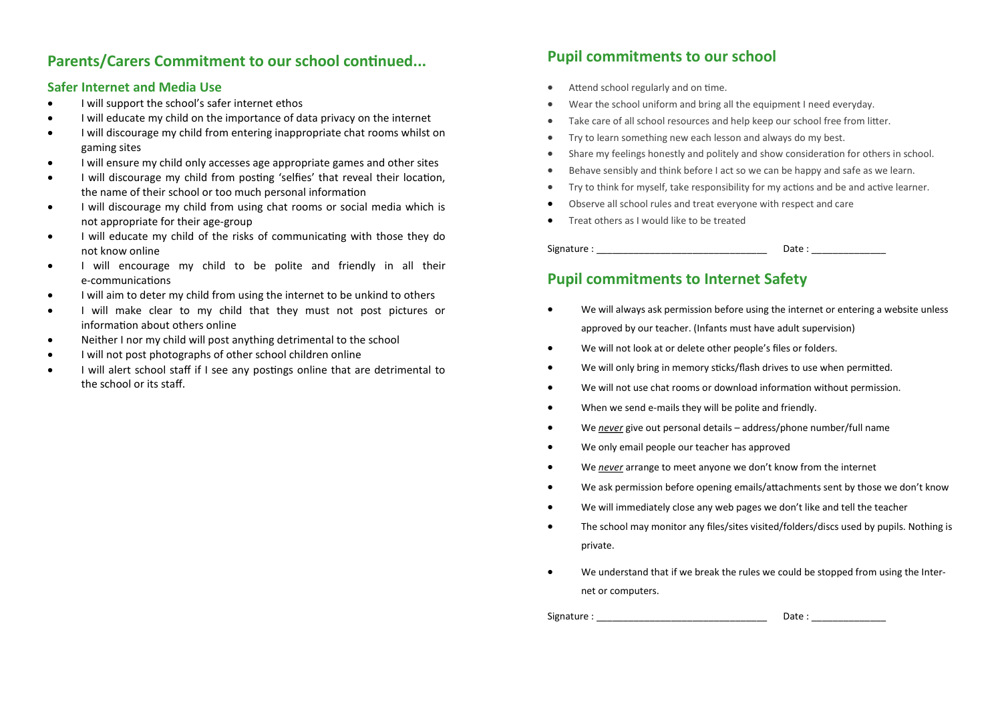# Parents/Carers Commitment to our school continued... Pupil commitments to our school

## **Safer Internet and Media Use**

- I will support the school's safer internet ethos
- I will educate my child on the importance of data privacy on the internet
- I will discourage my child from entering inappropriate chat rooms whilst on gaming sites
- I will ensure my child only accesses age appropriate games and other sites
- I will discourage my child from posting 'selfies' that reveal their location, the name of their school or too much personal information
- I will discourage my child from using chat rooms or social media which is not appropriate for their age-group
- I will educate my child of the risks of communicating with those they do not know online
- I will encourage my child to be polite and friendly in all their e-communications
- I will aim to deter my child from using the internet to be unkind to others
- I will make clear to my child that they must not post pictures or information about others online
- Neither I nor my child will post anything detrimental to the school
- I will not post photographs of other school children online
- I will alert school staff if I see any postings online that are detrimental to the school or its staff.

- Attend school regularly and on time.
- Wear the school uniform and bring all the equipment I need everyday.
- Take care of all school resources and help keep our school free from litter.
- Try to learn something new each lesson and always do my best.
- Share my feelings honestly and politely and show consideration for others in school.
- Behave sensibly and think before I act so we can be happy and safe as we learn.
- Try to think for myself, take responsibility for my actions and be and active learner.
- Observe all school rules and treat everyone with respect and care
- **•** Treat others as I would like to be treated

Signature : \_\_\_\_\_\_\_\_\_\_\_\_\_\_\_\_\_\_\_\_\_\_\_\_\_\_\_\_\_\_\_\_ Date : \_\_\_\_\_\_\_\_\_\_\_\_\_\_

## **Pupil commitments to Internet Safety**

- We will always ask permission before using the internet or entering a website unless approved by our teacher. (Infants must have adult supervision)
- We will not look at or delete other people's files or folders.
- We will only bring in memory sticks/flash drives to use when permitted.
- We will not use chat rooms or download information without permission.
- When we send e-mails they will be polite and friendly.
- We *never* give out personal details address/phone number/full name
- We only email people our teacher has approved
- We *never* arrange to meet anyone we don't know from the internet
- We ask permission before opening emails/attachments sent by those we don't know
- We will immediately close any web pages we don't like and tell the teacher
- The school may monitor any files/sites visited/folders/discs used by pupils. Nothing is private.
- We understand that if we break the rules we could be stopped from using the Internet or computers.

Signature : \_\_\_\_\_\_\_\_\_\_\_\_\_\_\_\_\_\_\_\_\_\_\_\_\_\_\_\_\_\_\_\_ Date : \_\_\_\_\_\_\_\_\_\_\_\_\_\_